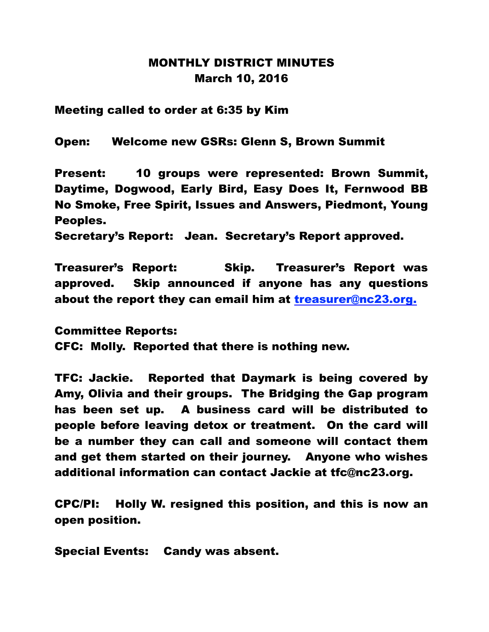## MONTHLY DISTRICT MINUTES March 10, 2016

Meeting called to order at 6:35 by Kim

Open: Welcome new GSRs: Glenn S, Brown Summit

Present: 10 groups were represented: Brown Summit, Daytime, Dogwood, Early Bird, Easy Does It, Fernwood BB No Smoke, Free Spirit, Issues and Answers, Piedmont, Young Peoples.

Secretary's Report: Jean. Secretary's Report approved.

Treasurer's Report: Skip. Treasurer's Report was approved. Skip announced if anyone has any questions about the report they can email him at treasurer@nc23.org.

Committee Reports: CFC: Molly. Reported that there is nothing new.

TFC: Jackie. Reported that Daymark is being covered by Amy, Olivia and their groups. The Bridging the Gap program has been set up. A business card will be distributed to people before leaving detox or treatment. On the card will be a number they can call and someone will contact them and get them started on their journey. Anyone who wishes additional information can contact Jackie at tfc@nc23.org.

CPC/PI: Holly W. resigned this position, and this is now an open position.

Special Events: Candy was absent.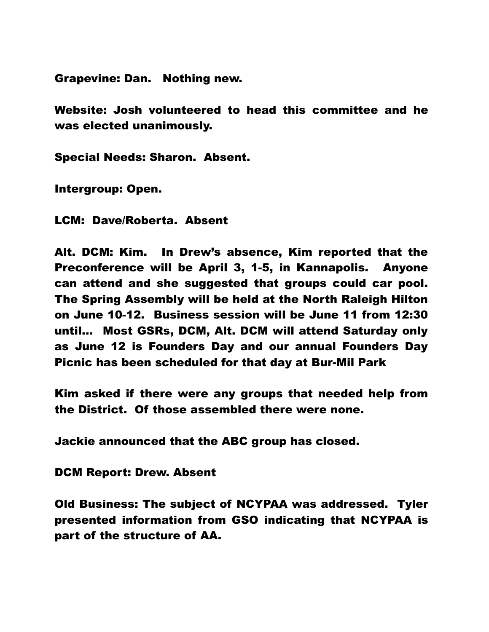Grapevine: Dan. Nothing new.

Website: Josh volunteered to head this committee and he was elected unanimously.

Special Needs: Sharon. Absent.

Intergroup: Open.

LCM: Dave/Roberta. Absent

Alt. DCM: Kim. In Drew's absence, Kim reported that the Preconference will be April 3, 1-5, in Kannapolis. Anyone can attend and she suggested that groups could car pool. The Spring Assembly will be held at the North Raleigh Hilton on June 10-12. Business session will be June 11 from 12:30 until... Most GSRs, DCM, Alt. DCM will attend Saturday only as June 12 is Founders Day and our annual Founders Day Picnic has been scheduled for that day at Bur-Mil Park

Kim asked if there were any groups that needed help from the District. Of those assembled there were none.

Jackie announced that the ABC group has closed.

DCM Report: Drew. Absent

Old Business: The subject of NCYPAA was addressed. Tyler presented information from GSO indicating that NCYPAA is part of the structure of AA.